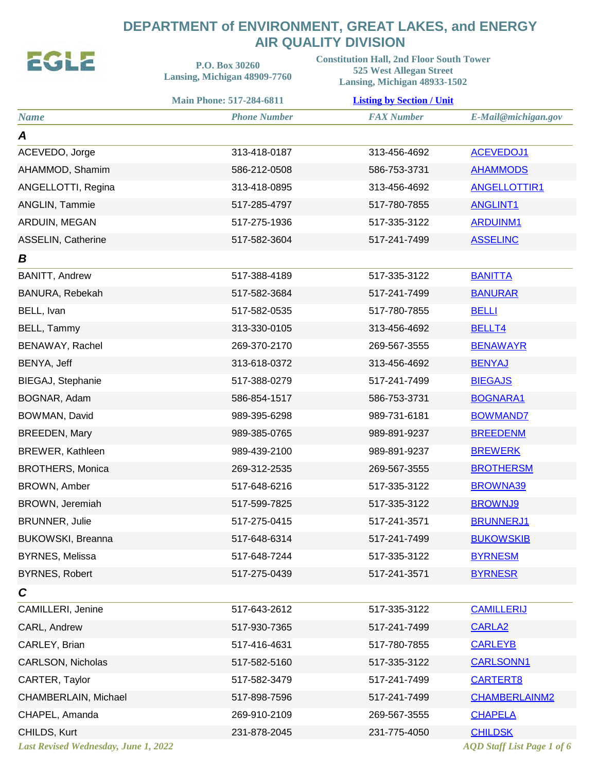## **DEPARTMENT of ENVIRONMENT, GREAT LAKES, and ENERGY AIR QUALITY DIVISION**<br>Constitution Hall 2nd Floor South To

**SAIN** 

| EULE                                 | P.O. Box 30260<br>Lansing, Michigan 48909-7760 | <b>Constitution Hall, 2nd Floor South Tower</b><br><b>525 West Allegan Street</b><br>Lansing, Michigan 48933-1502 |                                   |  |
|--------------------------------------|------------------------------------------------|-------------------------------------------------------------------------------------------------------------------|-----------------------------------|--|
|                                      | <b>Main Phone: 517-284-6811</b>                | <b>Listing by Section / Unit</b>                                                                                  |                                   |  |
| <b>Name</b>                          | <b>Phone Number</b>                            | <b>FAX Number</b>                                                                                                 | E-Mail@michigan.gov               |  |
| A                                    |                                                |                                                                                                                   |                                   |  |
| ACEVEDO, Jorge                       | 313-418-0187                                   | 313-456-4692                                                                                                      | <b>ACEVEDOJ1</b>                  |  |
| AHAMMOD, Shamim                      | 586-212-0508                                   | 586-753-3731                                                                                                      | <b>AHAMMODS</b>                   |  |
| ANGELLOTTI, Regina                   | 313-418-0895                                   | 313-456-4692                                                                                                      | <b>ANGELLOTTIR1</b>               |  |
| ANGLIN, Tammie                       | 517-285-4797                                   | 517-780-7855                                                                                                      | <b>ANGLINT1</b>                   |  |
| ARDUIN, MEGAN                        | 517-275-1936                                   | 517-335-3122                                                                                                      | <b>ARDUINM1</b>                   |  |
| ASSELIN, Catherine                   | 517-582-3604                                   | 517-241-7499                                                                                                      | <b>ASSELINC</b>                   |  |
| B                                    |                                                |                                                                                                                   |                                   |  |
| <b>BANITT, Andrew</b>                | 517-388-4189                                   | 517-335-3122                                                                                                      | <b>BANITTA</b>                    |  |
| BANURA, Rebekah                      | 517-582-3684                                   | 517-241-7499                                                                                                      | <b>BANURAR</b>                    |  |
| BELL, Ivan                           | 517-582-0535                                   | 517-780-7855                                                                                                      | <b>BELLI</b>                      |  |
| BELL, Tammy                          | 313-330-0105                                   | 313-456-4692                                                                                                      | BELLT4                            |  |
| BENAWAY, Rachel                      | 269-370-2170                                   | 269-567-3555                                                                                                      | <b>BENAWAYR</b>                   |  |
| BENYA, Jeff                          | 313-618-0372                                   | 313-456-4692                                                                                                      | <b>BENYAJ</b>                     |  |
| BIEGAJ, Stephanie                    | 517-388-0279                                   | 517-241-7499                                                                                                      | <b>BIEGAJS</b>                    |  |
| BOGNAR, Adam                         | 586-854-1517                                   | 586-753-3731                                                                                                      | <b>BOGNARA1</b>                   |  |
| BOWMAN, David                        | 989-395-6298                                   | 989-731-6181                                                                                                      | <b>BOWMAND7</b>                   |  |
| <b>BREEDEN, Mary</b>                 | 989-385-0765                                   | 989-891-9237                                                                                                      | <b>BREEDENM</b>                   |  |
| <b>BREWER, Kathleen</b>              | 989-439-2100                                   | 989-891-9237                                                                                                      | <b>BREWERK</b>                    |  |
| <b>BROTHERS, Monica</b>              | 269-312-2535                                   | 269-567-3555                                                                                                      | <b>BROTHERSM</b>                  |  |
| <b>BROWN, Amber</b>                  | 517-648-6216                                   | 517-335-3122                                                                                                      | <b>BROWNA39</b>                   |  |
| BROWN, Jeremiah                      | 517-599-7825                                   | 517-335-3122                                                                                                      | <b>BROWNJ9</b>                    |  |
| <b>BRUNNER, Julie</b>                | 517-275-0415                                   | 517-241-3571                                                                                                      | <b>BRUNNERJ1</b>                  |  |
| BUKOWSKI, Breanna                    | 517-648-6314                                   | 517-241-7499                                                                                                      | <b>BUKOWSKIB</b>                  |  |
| <b>BYRNES, Melissa</b>               | 517-648-7244                                   | 517-335-3122                                                                                                      | <b>BYRNESM</b>                    |  |
| <b>BYRNES, Robert</b>                | 517-275-0439                                   | 517-241-3571                                                                                                      | <b>BYRNESR</b>                    |  |
| $\mathbf c$                          |                                                |                                                                                                                   |                                   |  |
| CAMILLERI, Jenine                    | 517-643-2612                                   | 517-335-3122                                                                                                      | <b>CAMILLERIJ</b>                 |  |
| CARL, Andrew                         | 517-930-7365                                   | 517-241-7499                                                                                                      | <b>CARLA2</b>                     |  |
| CARLEY, Brian                        | 517-416-4631                                   | 517-780-7855                                                                                                      | <b>CARLEYB</b>                    |  |
| CARLSON, Nicholas                    | 517-582-5160                                   | 517-335-3122                                                                                                      | <b>CARLSONN1</b>                  |  |
| CARTER, Taylor                       | 517-582-3479                                   | 517-241-7499                                                                                                      | <b>CARTERT8</b>                   |  |
| CHAMBERLAIN, Michael                 | 517-898-7596                                   | 517-241-7499                                                                                                      | <b>CHAMBERLAINM2</b>              |  |
| CHAPEL, Amanda                       | 269-910-2109                                   | 269-567-3555                                                                                                      | <b>CHAPELA</b>                    |  |
| CHILDS, Kurt                         | 231-878-2045                                   | 231-775-4050                                                                                                      | <b>CHILDSK</b>                    |  |
| Last Revised Wednesday, June 1, 2022 |                                                |                                                                                                                   | <b>AQD</b> Staff List Page 1 of 6 |  |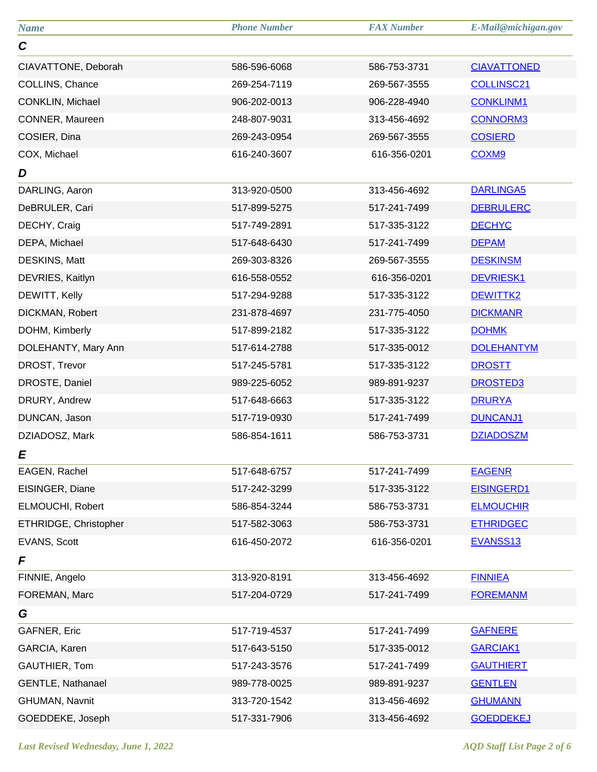| <b>Name</b>           | <b>Phone Number</b> | <b>FAX Number</b> | E-Mail@michigan.gov |
|-----------------------|---------------------|-------------------|---------------------|
| $\mathbf C$           |                     |                   |                     |
| CIAVATTONE, Deborah   | 586-596-6068        | 586-753-3731      | <b>CIAVATTONED</b>  |
| COLLINS, Chance       | 269-254-7119        | 269-567-3555      | <b>COLLINSC21</b>   |
| CONKLIN, Michael      | 906-202-0013        | 906-228-4940      | <b>CONKLINM1</b>    |
| CONNER, Maureen       | 248-807-9031        | 313-456-4692      | <b>CONNORM3</b>     |
| COSIER, Dina          | 269-243-0954        | 269-567-3555      | <b>COSIERD</b>      |
| COX, Michael          | 616-240-3607        | 616-356-0201      | COXM9               |
| D                     |                     |                   |                     |
| DARLING, Aaron        | 313-920-0500        | 313-456-4692      | <b>DARLINGA5</b>    |
| DeBRULER, Cari        | 517-899-5275        | 517-241-7499      | <b>DEBRULERC</b>    |
| DECHY, Craig          | 517-749-2891        | 517-335-3122      | <b>DECHYC</b>       |
| DEPA, Michael         | 517-648-6430        | 517-241-7499      | <b>DEPAM</b>        |
| DESKINS, Matt         | 269-303-8326        | 269-567-3555      | <b>DESKINSM</b>     |
| DEVRIES, Kaitlyn      | 616-558-0552        | 616-356-0201      | <b>DEVRIESK1</b>    |
| DEWITT, Kelly         | 517-294-9288        | 517-335-3122      | DEWITTK2            |
| DICKMAN, Robert       | 231-878-4697        | 231-775-4050      | <b>DICKMANR</b>     |
| DOHM, Kimberly        | 517-899-2182        | 517-335-3122      | <b>DOHMK</b>        |
| DOLEHANTY, Mary Ann   | 517-614-2788        | 517-335-0012      | <b>DOLEHANTYM</b>   |
| DROST, Trevor         | 517-245-5781        | 517-335-3122      | <b>DROSTT</b>       |
| DROSTE, Daniel        | 989-225-6052        | 989-891-9237      | <b>DROSTED3</b>     |
| DRURY, Andrew         | 517-648-6663        | 517-335-3122      | <b>DRURYA</b>       |
| DUNCAN, Jason         | 517-719-0930        | 517-241-7499      | DUNCANJ1            |
| DZIADOSZ, Mark        | 586-854-1611        | 586-753-3731      | <b>DZIADOSZM</b>    |
| E                     |                     |                   |                     |
| EAGEN, Rachel         | 517-648-6757        | 517-241-7499      | <b>EAGENR</b>       |
| EISINGER, Diane       | 517-242-3299        | 517-335-3122      | <b>EISINGERD1</b>   |
| ELMOUCHI, Robert      | 586-854-3244        | 586-753-3731      | <b>ELMOUCHIR</b>    |
| ETHRIDGE, Christopher | 517-582-3063        | 586-753-3731      | <b>ETHRIDGEC</b>    |
| EVANS, Scott          | 616-450-2072        | 616-356-0201      | EVANSS13            |
| F                     |                     |                   |                     |
| FINNIE, Angelo        | 313-920-8191        | 313-456-4692      | <b>FINNIEA</b>      |
| FOREMAN, Marc         | 517-204-0729        | 517-241-7499      | <b>FOREMANM</b>     |
| G                     |                     |                   |                     |
| GAFNER, Eric          | 517-719-4537        | 517-241-7499      | <b>GAFNERE</b>      |
| GARCIA, Karen         | 517-643-5150        | 517-335-0012      | <b>GARCIAK1</b>     |
| GAUTHIER, Tom         | 517-243-3576        | 517-241-7499      | <b>GAUTHIERT</b>    |
| GENTLE, Nathanael     | 989-778-0025        | 989-891-9237      | <b>GENTLEN</b>      |
| GHUMAN, Navnit        | 313-720-1542        | 313-456-4692      | <b>GHUMANN</b>      |
| GOEDDEKE, Joseph      | 517-331-7906        | 313-456-4692      | <b>GOEDDEKEJ</b>    |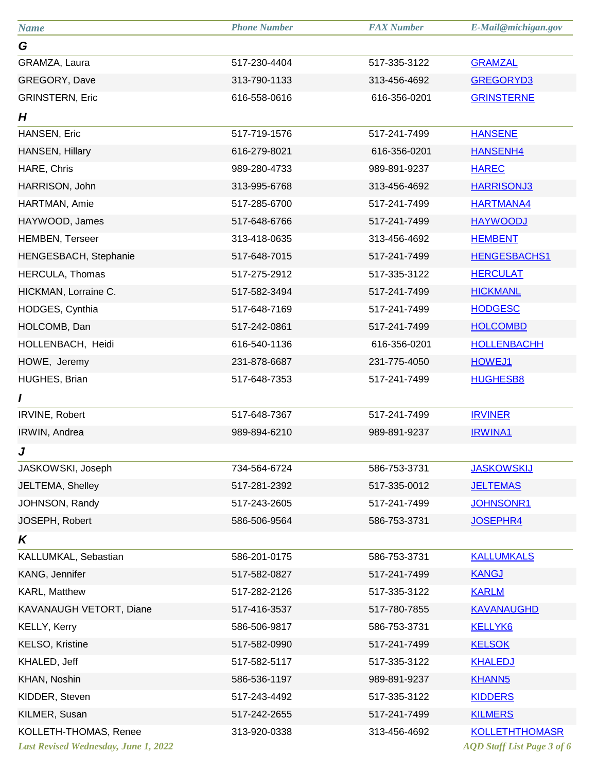| <b>Name</b>             | <b>Phone Number</b> | <b>FAX Number</b> | E-Mail@michigan.gov   |
|-------------------------|---------------------|-------------------|-----------------------|
| G                       |                     |                   |                       |
| GRAMZA, Laura           | 517-230-4404        | 517-335-3122      | <b>GRAMZAL</b>        |
| GREGORY, Dave           | 313-790-1133        | 313-456-4692      | GREGORYD3             |
| <b>GRINSTERN, Eric</b>  | 616-558-0616        | 616-356-0201      | <b>GRINSTERNE</b>     |
| H                       |                     |                   |                       |
| HANSEN, Eric            | 517-719-1576        | 517-241-7499      | <b>HANSENE</b>        |
| <b>HANSEN, Hillary</b>  | 616-279-8021        | 616-356-0201      | <b>HANSENH4</b>       |
| HARE, Chris             | 989-280-4733        | 989-891-9237      | <b>HAREC</b>          |
| HARRISON, John          | 313-995-6768        | 313-456-4692      | <b>HARRISONJ3</b>     |
| HARTMAN, Amie           | 517-285-6700        | 517-241-7499      | <b>HARTMANA4</b>      |
| HAYWOOD, James          | 517-648-6766        | 517-241-7499      | <b>HAYWOODJ</b>       |
| <b>HEMBEN, Terseer</b>  | 313-418-0635        | 313-456-4692      | <b>HEMBENT</b>        |
| HENGESBACH, Stephanie   | 517-648-7015        | 517-241-7499      | <b>HENGESBACHS1</b>   |
| HERCULA, Thomas         | 517-275-2912        | 517-335-3122      | <b>HERCULAT</b>       |
| HICKMAN, Lorraine C.    | 517-582-3494        | 517-241-7499      | <b>HICKMANL</b>       |
| HODGES, Cynthia         | 517-648-7169        | 517-241-7499      | <b>HODGESC</b>        |
| HOLCOMB, Dan            | 517-242-0861        | 517-241-7499      | <b>HOLCOMBD</b>       |
| HOLLENBACH, Heidi       | 616-540-1136        | 616-356-0201      | <b>HOLLENBACHH</b>    |
| HOWE, Jeremy            | 231-878-6687        | 231-775-4050      | <b>HOWEJ1</b>         |
| HUGHES, Brian           | 517-648-7353        | 517-241-7499      | <b>HUGHESB8</b>       |
| I                       |                     |                   |                       |
| IRVINE, Robert          | 517-648-7367        | 517-241-7499      | <b>IRVINER</b>        |
| IRWIN, Andrea           | 989-894-6210        | 989-891-9237      | <b>IRWINA1</b>        |
| J                       |                     |                   |                       |
| JASKOWSKI, Joseph       | 734-564-6724        | 586-753-3731      | <b>JASKOWSKIJ</b>     |
| JELTEMA, Shelley        | 517-281-2392        | 517-335-0012      | <b>JELTEMAS</b>       |
| JOHNSON, Randy          | 517-243-2605        | 517-241-7499      | <b>JOHNSONR1</b>      |
| JOSEPH, Robert          | 586-506-9564        | 586-753-3731      | JOSEPHR4              |
| K                       |                     |                   |                       |
| KALLUMKAL, Sebastian    | 586-201-0175        | 586-753-3731      | <b>KALLUMKALS</b>     |
| KANG, Jennifer          | 517-582-0827        | 517-241-7499      | <b>KANGJ</b>          |
| KARL, Matthew           | 517-282-2126        | 517-335-3122      | <b>KARLM</b>          |
| KAVANAUGH VETORT, Diane | 517-416-3537        | 517-780-7855      | <b>KAVANAUGHD</b>     |
| <b>KELLY, Kerry</b>     | 586-506-9817        | 586-753-3731      | <b>KELLYK6</b>        |
| KELSO, Kristine         | 517-582-0990        | 517-241-7499      | <b>KELSOK</b>         |
| KHALED, Jeff            | 517-582-5117        | 517-335-3122      | <b>KHALEDJ</b>        |
| KHAN, Noshin            | 586-536-1197        | 989-891-9237      | <b>KHANN5</b>         |
| KIDDER, Steven          | 517-243-4492        | 517-335-3122      | <b>KIDDERS</b>        |
| KILMER, Susan           | 517-242-2655        | 517-241-7499      | <b>KILMERS</b>        |
| KOLLETH-THOMAS, Renee   | 313-920-0338        | 313-456-4692      | <b>KOLLETHTHOMASR</b> |
|                         |                     |                   |                       |

**Last Revised Wednesday, June 1, 2022** 

*AQD Staff List Page 3 of 6*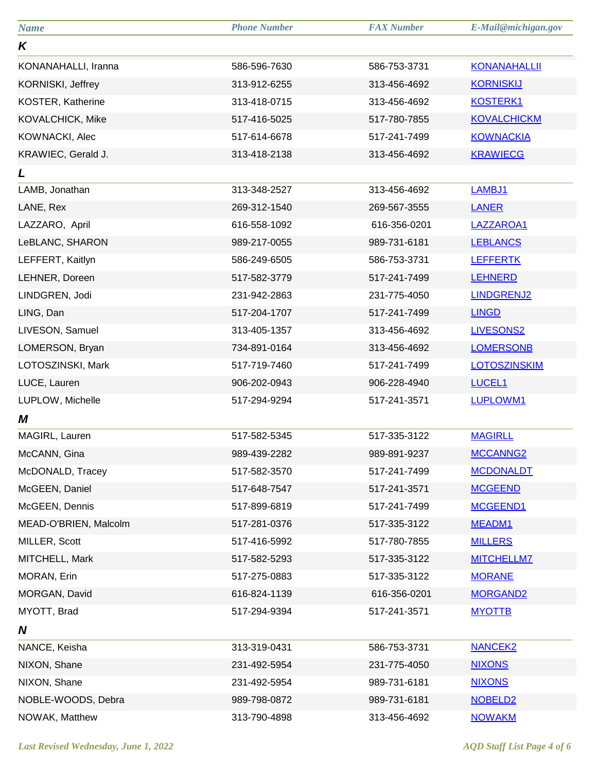| <b>Name</b>           | <b>Phone Number</b> | <b>FAX Number</b> | E-Mail@michigan.gov |
|-----------------------|---------------------|-------------------|---------------------|
| K                     |                     |                   |                     |
| KONANAHALLI, Iranna   | 586-596-7630        | 586-753-3731      | <b>KONANAHALLII</b> |
| KORNISKI, Jeffrey     | 313-912-6255        | 313-456-4692      | <b>KORNISKIJ</b>    |
| KOSTER, Katherine     | 313-418-0715        | 313-456-4692      | <b>KOSTERK1</b>     |
| KOVALCHICK, Mike      | 517-416-5025        | 517-780-7855      | <b>KOVALCHICKM</b>  |
| KOWNACKI, Alec        | 517-614-6678        | 517-241-7499      | <b>KOWNACKIA</b>    |
| KRAWIEC, Gerald J.    | 313-418-2138        | 313-456-4692      | <b>KRAWIECG</b>     |
| L                     |                     |                   |                     |
| LAMB, Jonathan        | 313-348-2527        | 313-456-4692      | LAMBJ1              |
| LANE, Rex             | 269-312-1540        | 269-567-3555      | <b>LANER</b>        |
| LAZZARO, April        | 616-558-1092        | 616-356-0201      | LAZZAROA1           |
| LeBLANC, SHARON       | 989-217-0055        | 989-731-6181      | <b>LEBLANCS</b>     |
| LEFFERT, Kaitlyn      | 586-249-6505        | 586-753-3731      | <b>LEFFERTK</b>     |
| LEHNER, Doreen        | 517-582-3779        | 517-241-7499      | <b>LEHNERD</b>      |
| LINDGREN, Jodi        | 231-942-2863        | 231-775-4050      | <b>LINDGRENJ2</b>   |
| LING, Dan             | 517-204-1707        | 517-241-7499      | <b>LINGD</b>        |
| LIVESON, Samuel       | 313-405-1357        | 313-456-4692      | <b>LIVESONS2</b>    |
| LOMERSON, Bryan       | 734-891-0164        | 313-456-4692      | <b>LOMERSONB</b>    |
| LOTOSZINSKI, Mark     | 517-719-7460        | 517-241-7499      | <b>LOTOSZINSKIM</b> |
| LUCE, Lauren          | 906-202-0943        | 906-228-4940      | <b>LUCEL1</b>       |
| LUPLOW, Michelle      | 517-294-9294        | 517-241-3571      | LUPLOWM1            |
| M                     |                     |                   |                     |
| MAGIRL, Lauren        | 517-582-5345        | 517-335-3122      | <b>MAGIRLL</b>      |
| McCANN, Gina          | 989-439-2282        | 989-891-9237      | MCCANNG2            |
| McDONALD, Tracey      | 517-582-3570        | 517-241-7499      | <b>MCDONALDT</b>    |
| McGEEN, Daniel        | 517-648-7547        | 517-241-3571      | <b>MCGEEND</b>      |
| McGEEN, Dennis        | 517-899-6819        | 517-241-7499      | MCGEEND1            |
| MEAD-O'BRIEN, Malcolm | 517-281-0376        | 517-335-3122      | MEADM1              |
| MILLER, Scott         | 517-416-5992        | 517-780-7855      | <b>MILLERS</b>      |
| MITCHELL, Mark        | 517-582-5293        | 517-335-3122      | <b>MITCHELLM7</b>   |
| MORAN, Erin           | 517-275-0883        | 517-335-3122      | <b>MORANE</b>       |
| MORGAN, David         | 616-824-1139        | 616-356-0201      | <b>MORGAND2</b>     |
| MYOTT, Brad           | 517-294-9394        | 517-241-3571      | <b>MYOTTB</b>       |
| N                     |                     |                   |                     |
| NANCE, Keisha         | 313-319-0431        | 586-753-3731      | <b>NANCEK2</b>      |
| NIXON, Shane          | 231-492-5954        | 231-775-4050      | <b>NIXONS</b>       |
| NIXON, Shane          | 231-492-5954        | 989-731-6181      | <b>NIXONS</b>       |
| NOBLE-WOODS, Debra    | 989-798-0872        | 989-731-6181      | NOBELD <sub>2</sub> |
| NOWAK, Matthew        | 313-790-4898        | 313-456-4692      | <b>NOWAKM</b>       |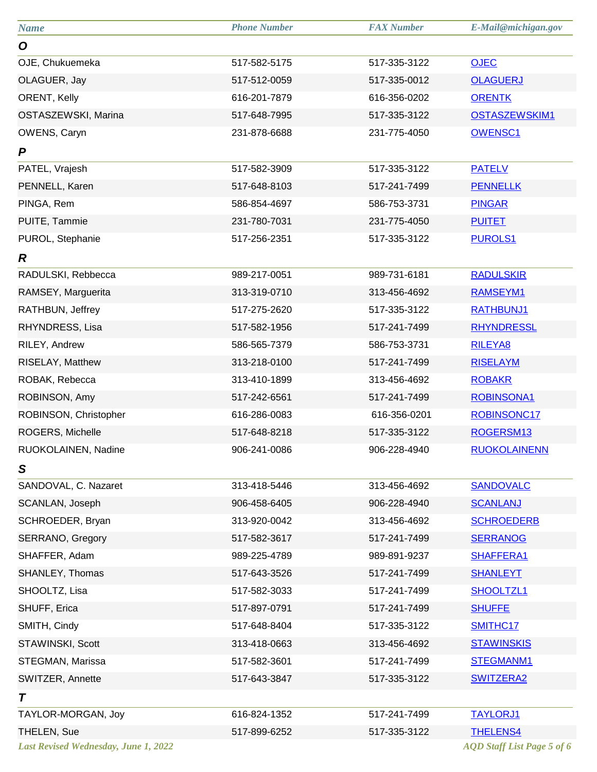| <b>Name</b>                                 | <b>Phone Number</b> | <b>FAX Number</b> | E-Mail@michigan.gov               |
|---------------------------------------------|---------------------|-------------------|-----------------------------------|
| O                                           |                     |                   |                                   |
| OJE, Chukuemeka                             | 517-582-5175        | 517-335-3122      | <b>OJEC</b>                       |
| OLAGUER, Jay                                | 517-512-0059        | 517-335-0012      | <b>OLAGUERJ</b>                   |
| ORENT, Kelly                                | 616-201-7879        | 616-356-0202      | <b>ORENTK</b>                     |
| OSTASZEWSKI, Marina                         | 517-648-7995        | 517-335-3122      | <b>OSTASZEWSKIM1</b>              |
| OWENS, Caryn                                | 231-878-6688        | 231-775-4050      | <b>OWENSC1</b>                    |
| P                                           |                     |                   |                                   |
| PATEL, Vrajesh                              | 517-582-3909        | 517-335-3122      | <b>PATELV</b>                     |
| PENNELL, Karen                              | 517-648-8103        | 517-241-7499      | <b>PENNELLK</b>                   |
| PINGA, Rem                                  | 586-854-4697        | 586-753-3731      | <b>PINGAR</b>                     |
| PUITE, Tammie                               | 231-780-7031        | 231-775-4050      | <b>PUITET</b>                     |
| PUROL, Stephanie                            | 517-256-2351        | 517-335-3122      | <b>PUROLS1</b>                    |
| R                                           |                     |                   |                                   |
| RADULSKI, Rebbecca                          | 989-217-0051        | 989-731-6181      | <b>RADULSKIR</b>                  |
| RAMSEY, Marguerita                          | 313-319-0710        | 313-456-4692      | <b>RAMSEYM1</b>                   |
| RATHBUN, Jeffrey                            | 517-275-2620        | 517-335-3122      | <b>RATHBUNJ1</b>                  |
| RHYNDRESS, Lisa                             | 517-582-1956        | 517-241-7499      | <b>RHYNDRESSL</b>                 |
| RILEY, Andrew                               | 586-565-7379        | 586-753-3731      | <b>RILEYA8</b>                    |
| RISELAY, Matthew                            | 313-218-0100        | 517-241-7499      | <b>RISELAYM</b>                   |
| ROBAK, Rebecca                              | 313-410-1899        | 313-456-4692      | <b>ROBAKR</b>                     |
| ROBINSON, Amy                               | 517-242-6561        | 517-241-7499      | <b>ROBINSONA1</b>                 |
| ROBINSON, Christopher                       | 616-286-0083        | 616-356-0201      | ROBINSONC17                       |
| ROGERS, Michelle                            | 517-648-8218        | 517-335-3122      | ROGERSM13                         |
| RUOKOLAINEN, Nadine                         | 906-241-0086        | 906-228-4940      | <b>RUOKOLAINENN</b>               |
| S                                           |                     |                   |                                   |
| SANDOVAL, C. Nazaret                        | 313-418-5446        | 313-456-4692      | <b>SANDOVALC</b>                  |
| SCANLAN, Joseph                             | 906-458-6405        | 906-228-4940      | <b>SCANLANJ</b>                   |
| SCHROEDER, Bryan                            | 313-920-0042        | 313-456-4692      | <b>SCHROEDERB</b>                 |
| <b>SERRANO, Gregory</b>                     | 517-582-3617        | 517-241-7499      | <b>SERRANOG</b>                   |
| SHAFFER, Adam                               | 989-225-4789        | 989-891-9237      | <b>SHAFFERA1</b>                  |
| SHANLEY, Thomas                             | 517-643-3526        | 517-241-7499      | <b>SHANLEYT</b>                   |
| SHOOLTZ, Lisa                               | 517-582-3033        | 517-241-7499      | <b>SHOOLTZL1</b>                  |
| SHUFF, Erica                                | 517-897-0791        | 517-241-7499      | <b>SHUFFE</b>                     |
| SMITH, Cindy                                | 517-648-8404        | 517-335-3122      | <b>SMITHC17</b>                   |
| STAWINSKI, Scott                            | 313-418-0663        | 313-456-4692      | <b>STAWINSKIS</b>                 |
| STEGMAN, Marissa                            | 517-582-3601        | 517-241-7499      | <b>STEGMANM1</b>                  |
| SWITZER, Annette                            | 517-643-3847        | 517-335-3122      | <b>SWITZERA2</b>                  |
| T                                           |                     |                   |                                   |
| TAYLOR-MORGAN, Joy                          | 616-824-1352        | 517-241-7499      | <b>TAYLORJ1</b>                   |
| <b>THELEN, Sue</b>                          | 517-899-6252        | 517-335-3122      | <b>THELENS4</b>                   |
| <b>Last Revised Wednesday, June 1, 2022</b> |                     |                   | <b>AQD</b> Staff List Page 5 of 6 |